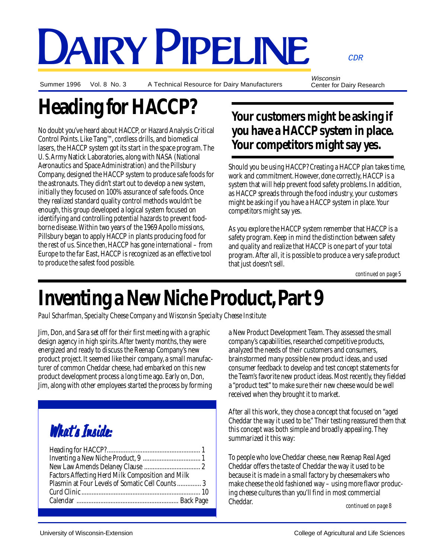# DAIRY PIPELINE

Summer 1996 Vol. 8 No. 3

A Technical Resource for Dairy Manufacturers

Wisconsin Center for Dairy Research

CDR

# **Heading for HACCP?**

No doubt you've heard about HACCP, or Hazard Analysis Critical Control Points. Like Tang™, cordless drills, and biomedical lasers, the HACCP system got its start in the space program. The U. S. Army Natick Laboratories, along with NASA (National Aeronautics and Space Administration) and the Pillsbury Company, designed the HACCP system to produce safe foods for the astronauts. They didn't start out to develop a new system, initially they focused on 100% assurance of safe foods. Once they realized standard quality control methods wouldn't be enough, this group developed a logical system focused on identifying and controlling potential hazards to prevent foodborne disease. Within two years of the 1969 Apollo missions, Pillsbury began to apply HACCP in plants producing food for the rest of us. Since then, HACCP has gone international – from Europe to the far East, HACCP is recognized as an effective tool to produce the safest food possible.

### **Your customers might be asking if you have a HACCP system in place. Your competitors might say yes.**

Should you be using HACCP? Creating a HACCP plan takes time, work and commitment. However, done correctly, HACCP is a system that will help prevent food safety problems. In addition, as HACCP spreads through the food industry, your customers might be asking if you have a HACCP system in place. Your competitors might say yes.

As you explore the HACCP system remember that HACCP is a safety program. Keep in mind the distinction between safety and quality and realize that HACCP is one part of your total program. After all, it is possible to produce a very safe product that just doesn't sell.

*continued on page 5*

# **Inventing a New Niche Product, Part 9**

*Paul Scharfman, Specialty Cheese Company and Wisconsin Specialty Cheese Institute*

Jim, Don, and Sara set off for their first meeting with a graphic design agency in high spirits. After twenty months, they were energized and ready to discuss the Reenap Company's new product project. It seemed like their company, a small manufacturer of common Cheddar cheese, had embarked on this new product development process a long time ago. Early on, Don, Jim, along with other employees started the process by forming

# What's Inside:

| Factors Affecting Herd Milk Composition and Milk |  |
|--------------------------------------------------|--|
| Plasmin at Four Levels of Somatic Cell Counts 3  |  |
|                                                  |  |
|                                                  |  |
|                                                  |  |

a New Product Development Team. They assessed the small company's capabilities, researched competitive products, analyzed the needs of their customers and consumers, brainstormed many possible new product ideas, and used consumer feedback to develop and test concept statements for the Team's favorite new product ideas. Most recently, they fielded a "product test" to make sure their new cheese would be well received when they brought it to market.

After all this work, they chose a concept that focused on "aged Cheddar the way it used to be." Their testing reassured them that this concept was both simple and broadly appealing. They summarized it this way:

*continued on page 8* To people who love Cheddar cheese, new Reenap Real Aged Cheddar offers the taste of Cheddar the way it used to be because it is made in a small factory by cheesemakers who make cheese the old fashioned way – using more flavor producing cheese cultures than you'll find in most commercial Cheddar.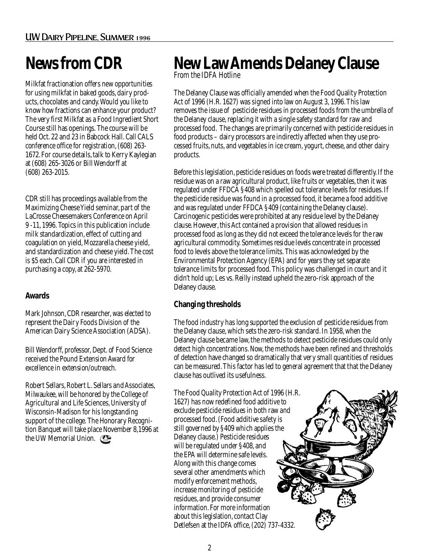## **News from CDR**

Milkfat fractionation offers new opportunities for using milkfat in baked goods, dairy products, chocolates and candy. Would you like to know how fractions can enhance your product? The very first Milkfat as a Food Ingredient Short Course still has openings. The course will be held Oct. 22 and 23 in Babcock Hall. Call CALS conference office for registration, (608) 263- 1672. For course details, talk to Kerry Kaylegian at (608) 265-3026 or Bill Wendorff at (608) 263-2015.

CDR still has proceedings available from the Maximizing Cheese Yield seminar, part of the LaCrosse Cheesemakers Conference on April 9 -11, 1996. Topics in this publication include milk standardization, effect of cutting and coagulation on yield, Mozzarella cheese yield, and standardization and cheese yield. The cost is \$5 each. Call CDR if you are interested in purchasing a copy, at 262-5970.

### **Awards**

Mark Johnson, CDR researcher, was elected to represent the Dairy Foods Division of the American Dairy Science Association (ADSA).

Bill Wendorff, professor, Dept. of Food Science received the Pound Extension Award for excellence in extension/outreach.

Robert Sellars, Robert L. Sellars and Associates, Milwaukee, will be honored by the College of Agricultural and Life Sciences, University of Wisconsin-Madison for his longstanding support of the college. The Honorary Recognition Banquet will take place November 8,1996 at the UW Memorial Union.

### **New Law Amends Delaney Clause** *From the IDFA Hotline*

The Delaney Clause was officially amended when the Food Quality Protection Act of 1996 (H.R. 1627) was signed into law on August 3, 1996. This law removes the issue of pesticide residues in processed foods from the umbrella of the Delaney clause, replacing it with a single safety standard for raw and processed food. The changes are primarily concerned with pesticide residues in food products – dairy processors are indirectly affected when they use processed fruits, nuts, and vegetables in ice cream, yogurt, cheese, and other dairy products.

Before this legislation, pesticide residues on foods were treated differently. If the residue was on a raw agricultural product, like fruits or vegetables, then it was regulated under FFDCA §408 which spelled out tolerance levels for residues. If the pesticide residue was found in a processed food, it became a food additive and was regulated under FFDCA §409 (containing the Delaney clause). Carcinogenic pesticides were prohibited at any residue level by the Delaney clause. However, this Act contained a provision that allowed residues in processed food as long as they did not exceed the tolerance levels for the raw agricultural commodity. Sometimes residue levels concentrate in processed food to levels above the tolerance limits. This was acknowledged by the Environmental Protection Agency (EPA) and for years they set separate tolerance limits for processed food. This policy was challenged in court and it didn't hold up; Les vs. Reilly instead upheld the zero-risk approach of the Delaney clause.

### **Changing thresholds**

The food industry has long supported the exclusion of pesticide residues from the Delaney clause, which sets the zero-risk standard. In 1958, when the Delaney clause became law, the methods to detect pesticide residues could only detect high concentrations. Now, the methods have been refined and thresholds of detection have changed so dramatically that very small quantities of residues can be measured. This factor has led to general agreement that that the Delaney clause has outlived its usefulness.

The Food Quality Protection Act of 1996 (H.R. 1627) has now redefined food additive to exclude pesticide residues in both raw and processed food. (Food additive safety is still governed by §409 which applies the Delaney clause.) Pesticide residues will be regulated under §408, and the EPA will determine safe levels. Along with this change comes several other amendments which modify enforcement methods, increase monitoring of pesticide residues, and provide consumer information. For more information about this legislation, contact Clay Detlefsen at the IDFA office, (202) 737-4332.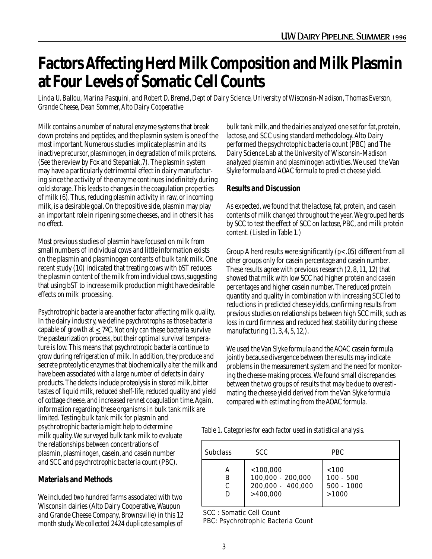### **Factors Affecting Herd Milk Composition and Milk Plasmin at Four Levels of Somatic Cell Counts**

*Linda U. Ballou, Marina Pasquini, and Robert D. Bremel, Dept of Dairy Science, University of Wisconsin-Madison, Thomas Everson, Grande Cheese, Dean Sommer, Alto Dairy Cooperative*

Milk contains a number of natural enzyme systems that break down proteins and peptides, and the plasmin system is one of the most important. Numerous studies implicate plasmin and its inactive precursor, plasminogen, in degradation of milk proteins. (See the review by Fox and Stepaniak,7). The plasmin system may have a particularly detrimental effect in dairy manufacturing since the activity of the enzyme continues indefinitely during cold storage. This leads to changes in the coagulation properties of milk (6). Thus, reducing plasmin activity in raw, or incoming milk, is a desirable goal. On the positive side, plasmin may play an important role in ripening some cheeses, and in others it has no effect.

Most previous studies of plasmin have focused on milk from small numbers of individual cows and little information exists on the plasmin and plasminogen contents of bulk tank milk. One recent study (10) indicated that treating cows with bST reduces the plasmin content of the milk from individual cows, suggesting that using bST to increase milk production might have desirable effects on milk processing.

Psychrotrophic bacteria are another factor affecting milk quality. In the dairy industry, we define psychrotrophs as those bacteria capable of growth at  $\leq 7^{\circ}$ C. Not only can these bacteria survive the pasteurization process, but their optimal survival temperature is low. This means that psychrotropic bacteria continue to grow during refrigeration of milk. In addition, they produce and secrete proteolytic enzymes that biochemically alter the milk and have been associated with a large number of defects in dairy products. The defects include proteolysis in stored milk, bitter tastes of liquid milk, reduced shelf-life, reduced quality and yield of cottage cheese, and increased rennet coagulation time. Again, information regarding these organisms in bulk tank milk are limited. Testing bulk tank milk for plasmin and psychrotrophic bacteria might help to determine milk quality. We surveyed bulk tank milk to evaluate the relationships between concentrations of plasmin, plasminogen, casein, and casein number

### **Materials and Methods**

We included two hundred farms associated with two Wisconsin dairies (Alto Dairy Cooperative, Waupun and Grande Cheese Company, Brownsville) in this 12 month study. We collected 2424 duplicate samples of

and SCC and psychrotrophic bacteria count (PBC).

bulk tank milk, and the dairies analyzed one set for fat, protein, lactose, and SCC using standard methodology. Alto Dairy performed the psychrotophic bacteria count (PBC) and The Dairy Science Lab at the University of Wisconsin-Madison analyzed plasmin and plasminogen activities. We used the Van Slyke formula and AOAC formula to predict cheese yield.

#### **Results and Discussion**

As expected, we found that the lactose, fat, protein, and casein contents of milk changed throughout the year. We grouped herds by SCC to test the effect of SCC on lactose, PBC, and milk protein content. (Listed in Table 1.)

Group A herd results were significantly  $(p<.05)$  different from all other groups only for casein percentage and casein number. These results agree with previous research (2, 8, 11, 12) that showed that milk with low SCC had higher protein and casein percentages and higher casein number. The reduced protein quantity and quality in combination with increasing SCC led to reductions in predicted cheese yields, confirming results from previous studies on relationships between high SCC milk, such as loss in curd firmness and reduced heat stability during cheese manufacturing (1, 3, 4, 5, 12,).

We used the Van Slyke formula and the AOAC casein formula jointly because divergence between the results may indicate problems in the measurement system and the need for monitoring the cheese-making process. We found small discrepancies between the two groups of results that may be due to overestimating the cheese yield derived from the Van Slyke formula compared with estimating from the AOAC formula.

*Table 1. Categories for each factor used in statistical analysis.*

| <b>Subclass</b> | <b>SCC</b>                                                          | <b>PBC</b>                                    |
|-----------------|---------------------------------------------------------------------|-----------------------------------------------|
| А<br>B<br>C     | $<$ 100,000<br>$100,000 - 200,000$<br>200,000 - 400,000<br>>400,000 | < 100<br>$100 - 500$<br>$500 - 1000$<br>>1000 |

SCC : Somatic Cell Count

PBC: Psychrotrophic Bacteria Count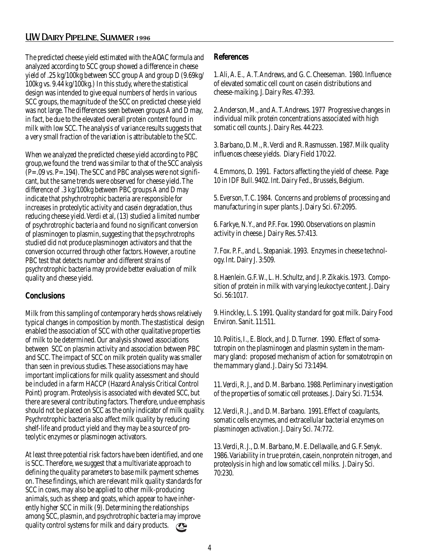### UW Dairy Pipeline, Summer 1996

The predicted cheese yield estimated with the AOAC formula and analyzed according to SCC group showed a difference in cheese yield of .25 kg/100kg between SCC group A and group D (9.69kg/ 100kg vs. 9.44 kg/100kg.) In this study, where the statistical design was intended to give equal numbers of herds in various SCC groups, the magnitude of the SCC on predicted cheese yield was not large. The differences seen between groups A and D may, in fact, be due to the elevated overall protein content found in milk with low SCC. The analysis of variance results suggests that a very small fraction of the variation is attributable to the SCC.

When we analyzed the predicted cheese yield according to PBC group,we found the trend was similar to that of the SCC analysis  $(P=.09 \text{ vs. } P=.194)$ . The SCC and PBC analyses were not significant, but the same trends were observed for cheese yield. The difference of .3 kg/100kg between PBC groups A and D may indicate that pshychrotrophic bacteria are responsible for increases in proteolytic activity and casein degradation, thus reducing cheese yield. Verdi et al, (13) studied a limited number of psychrotrophic bacteria and found no significant conversion of plasminogen to plasmin, suggesting that the psychrotrophs studied did not produce plasminogen activators and that the conversion occurred through other factors. However, a routine PBC test that detects number and different strains of psychrotrophic bacteria may provide better evaluation of milk quality and cheese yield.

#### **Conclusions**

Milk from this sampling of contemporary herds shows relatively typical changes in composition by month. The stastistical design enabled the association of SCC with other qualitative properties of milk to be determined. Our analysis showed associations between SCC on plasmin activity and association between PBC and SCC. The impact of SCC on milk protein quality was smaller than seen in previous studies. These associations may have important implications for milk quality assessment and should be included in a farm HACCP (Hazard Analysis Critical Control Point) program. Proteolysis is associated with elevated SCC, but there are several contributing factors. Therefore, undue emphasis should not be placed on SCC as the only indicator of milk quality. Psychrotrophic bacteria also affect milk quality by reducing shelf-life and product yield and they may be a source of proteolytic enzymes or plasminogen activators.

At least three potential risk factors have been identified, and one is SCC. Therefore, we suggest that a multivariate approach to defining the quality parameters to base milk payment schemes on. These findings, which are relevant milk quality standards for SCC in cows, may also be applied to other milk-producing animals, such as sheep and goats, which appear to have inherently higher SCC in milk (9). Determining the relationships among SCC, plasmin, and psychrotrophic bacteria may improve quality control systems for milk and dairy products.  $\mathcal{C}_{\text{obs}}$ 

#### **References**

1. Ali, A. E., A. T. Andrews, and G. C. Cheeseman. 1980. Influence of elevated somatic cell count on casein distributions and cheese-maiking. J. Dairy Res. 47:393.

2. Anderson, M., and A. T. Andrews. 1977 Progressive changes in individual milk protein concentrations associated with high somatic cell counts. J. Dairy Res. 44:223.

3. Barbano, D. M., R. Verdi and R. Rasmussen. 1987. Milk quality influences cheese yields. Diary Field 170:22.

4. Emmons, D. 1991. Factors affecting the yield of cheese. Page 10 in IDF Bull. 9402. Int. Dairy Fed., Brussels, Belgium.

5. Everson, T. C. 1984. Concerns and problems of processing and manufacturing in super plants. J. Dairy Sci. 67:2095.

6. Farkye, N. Y., and P.F. Fox. 1990. Observations on plasmin activity in cheese. J Dairy Res. 57:413.

7. Fox. P. F., and L. Stepaniak. 1993. Enzymes in cheese technology. Int. Dairy J. 3:509.

8. Haenlein. G.F. W., L. H. Schultz, and J. P. Zikakis. 1973. Composition of protein in milk with varying leukoctye content. J. Dairy Sci. 56:1017.

9. Hinckley, L. S. 1991. Quality standard for goat milk. Dairy Food Environ. Sanit. 11:511.

10. Politis, I., E. Block, and J. D. Turner. 1990. Effect of somatotropin on the plasminogen and plasmin system in the mammary gland: proposed mechanism of action for somatotropin on the mammary gland. J. Dairy Sci 73:1494.

11. Verdi, R. J., and D. M. Barbano. 1988. Perliminary investigation of the properties of somatic cell proteases. J. Dairy Sci. 71:534.

12. Verdi, R. J., and D. M. Barbano. 1991. Effect of coagulants, somatic cells enzymes, and extracellular bacterial enzymes on plasminogen activation. J. Dairy Sci. 74:772.

13. Verdi, R. J., D. M. Barbano, M. E. Dellavalle, and G. F. Senyk. 1986. Variability in true protein, casein, nonprotein nitrogen, and proteolysis in high and low somatic cell milks. J. Dairy Sci. 70:230.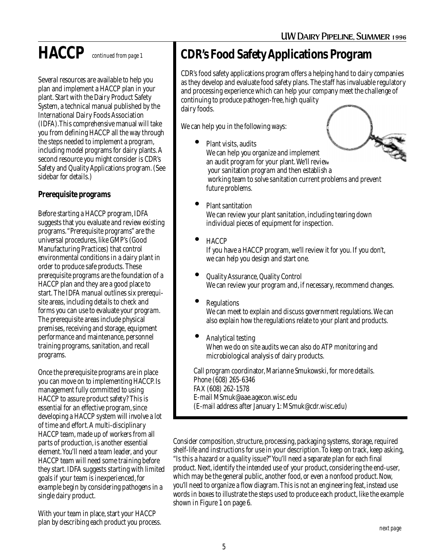Several resources are available to help you plan and implement a HACCP plan in your plant. Start with the Dairy Product Safety System, a technical manual published by the International Dairy Foods Association (IDFA).This comprehensive manual will take you from defining HACCP all the way through the steps needed to implement a program, including model programs for dairy plants. A second resource you might consider is CDR's Safety and Quality Applications program. (See sidebar for details.)

### **Prerequisite programs**

Before starting a HACCP program, IDFA suggests that you evaluate and review existing programs. "Prerequisite programs" are the universal procedures, like GMP's (Good Manufacturing Practices) that control environmental conditions in a dairy plant in order to produce safe products. These prerequisite programs are the foundation of a HACCP plan and they are a good place to start. The IDFA manual outlines six prerequisite areas, including details to check and forms you can use to evaluate your program. The prerequisite areas include physical premises, receiving and storage, equipment performance and maintenance, personnel training programs, sanitation, and recall programs.

Once the prerequisite programs are in place you can move on to implementing HACCP. Is management fully committed to using HACCP to assure product safety? This is essential for an effective program, since developing a HACCP system will involve a lot of time and effort. A multi-disciplinary HACCP team, made up of workers from all parts of production, is another essential element. You'll need a team leader, and your HACCP team will need some training before they start. IDFA suggests starting with limited goals if your team is inexperienced, for example begin by considering pathogens in a single dairy product.

With your team in place, start your HACCP plan by describing each product you process.

### **HACCP** *continued from page 1* **CDR's Food Safety Applications Program**

CDR's food safety applications program offers a helping hand to dairy companies as they develop and evaluate food safety plans. The staff has invaluable regulatory and processing experience which can help your company meet the challenge of continuing to produce pathogen-free, high quality dairy foods.

We can help you in the following ways:

- Plant visits, audits We can help you organize and implement an audit program for your plant. We'll review your sanitation program and then establish a working team to solve sanitation current problems and prevent future problems.
- Plant santitation We can review your plant sanitation, including tearing down individual pieces of equipment for inspection.
	- HACCP If you have a HACCP program, we'll review it for you. If you don't, we can help you design and start one.
- Quality Assurance, Quality Control We can review your program and, if necessary, recommend changes.
- **Regulations**

We can meet to explain and discuss government regulations. We can also explain how the regulations relate to your plant and products.

• Analytical testing When we do on site audits we can also do ATP monitoring and microbiological analysis of dairy products.

Call program coordinator, Marianne Smukowski, for more details. Phone (608) 265-6346 FAX (608) 262-1578 E-mail MSmuk@aae.agecon.wisc.edu (E-mail address after January 1: MSmuk@cdr.wisc.edu)

Consider composition, structure, processing, packaging systems, storage, required shelf-life and instructions for use in your description. To keep on track, keep asking, "Is this a hazard or a quality issue?" You'll need a separate plan for each final product. Next, identify the intended use of your product, considering the end-user, which may be the general public, another food, or even a nonfood product. Now, you'll need to organize a flow diagram. This is not an engineering feat, instead use words in boxes to illustrate the steps used to produce each product, like the example shown in Figure 1 on page 6.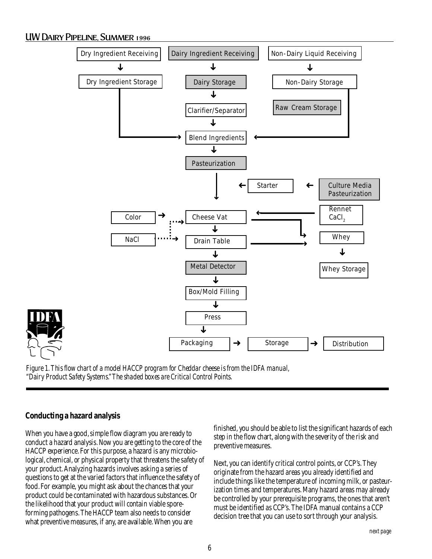### UW Dairy Pipeline, Summer 1996



*Figure 1. This flow chart of a model HACCP program for Cheddar cheese is from the IDFA manual, "Dairy Product Safety Systems." The shaded boxes are Critical Control Points.*

### **Conducting a hazard analysis**

When you have a good, simple flow diagram you are ready to conduct a hazard analysis. Now you are getting to the core of the HACCP experience. For this purpose, a hazard is any microbiological, chemical, or physical property that threatens the safety of your product. Analyzing hazards involves asking a series of questions to get at the varied factors that influence the safety of food. For example, you might ask about the chances that your product could be contaminated with hazardous substances. Or the likelihood that your product will contain viable sporeforming pathogens. The HACCP team also needs to consider what preventive measures, if any, are available. When you are

finished, you should be able to list the significant hazards of each step in the flow chart, along with the severity of the risk and preventive measures.

Next, you can identify critical control points, or CCP's. They originate from the hazard areas you already identified and include things like the temperature of incoming milk, or pasteurization times and temperatures. Many hazard areas may already be controlled by your prerequisite programs, the ones that aren't must be identified as CCP's. The IDFA manual contains a CCP decision tree that you can use to sort through your analysis.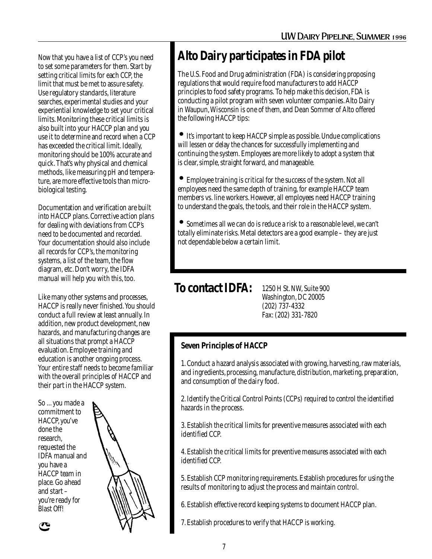Now that you have a list of CCP's you need to set some parameters for them. Start by setting critical limits for each CCP, the limit that must be met to assure safety. Use regulatory standards, literature searches, experimental studies and your experiential knowledge to set your critical limits. Monitoring these critical limits is also built into your HACCP plan and you use it to determine and record when a CCP has exceeded the critical limit. Ideally, monitoring should be 100% accurate and quick. That's why physical and chemical methods, like measuring pH and temperature, are more effective tools than microbiological testing.

Documentation and verification are built into HACCP plans. Corrective action plans for dealing with deviations from CCP's need to be documented and recorded. Your documentation should also include all records for CCP's, the monitoring systems, a list of the team, the flow diagram, etc. Don't worry, the IDFA manual will help you with this, too.

Like many other systems and processes, HACCP is really never finished. You should conduct a full review at least annually. In addition, new product development, new hazards, and manufacturing changes are all situations that prompt a HACCP evaluation. Employee training and education is another ongoing process. Your entire staff needs to become familiar with the overall principles of HACCP and their part in the HACCP system.

So ... you made a commitment to HACCP, you've done the research, requested the IDFA manual and you have a HACCP team in place. Go ahead and start – you're ready for Blast Off!



### **Alto Dairy participates in FDA pilot**

The U.S. Food and Drug administration (FDA) is considering proposing regulations that would require food manufacturers to add HACCP principles to food safety programs. To help make this decision, FDA is conducting a pilot program with seven volunteer companies. Alto Dairy in Waupun, Wisconsin is one of them, and Dean Sommer of Alto offered the following HACCP tips:

• It's important to keep HACCP simple as possible. Undue complications will lessen or delay the chances for successfully implementing and continuing the system. Employees are more likely to adopt a system that is clear, simple, straight forward, and manageable.

• Employee training is critical for the success of the system. Not all employees need the same depth of training, for example HACCP team members vs. line workers. However, all employees need HACCP training to understand the goals, the tools, and their role in the HACCP system.

• Sometimes all we can do is reduce a risk to a reasonable level, we can't totally eliminate risks. Metal detectors are a good example – they are just not dependable below a certain limit.

### **To contact IDFA:**

1250 H St. NW, Suite 900 Washington, DC 20005 (202) 737-4332 Fax: (202) 331-7820

### **Seven Principles of HACCP**

1. Conduct a hazard analysis associated with growing, harvesting, raw materials, and ingredients, processing, manufacture, distribution, marketing, preparation, and consumption of the dairy food.

2. Identify the Critical Control Points (CCPs) required to control the identified hazards in the process.

3. Establish the critical limits for preventive measures associated with each identified CCP.

4. Establish the critical limits for preventive measures associated with each identified CCP.

5. Establish CCP monitoring requirements. Establish procedures for using the results of monitoring to adjust the process and maintain control.

6. Establish effective record keeping systems to document HACCP plan.

7. Establish procedures to verify that HACCP is working.

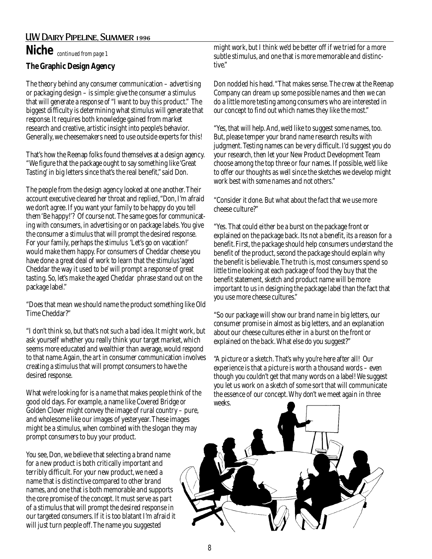### UW Dairy Pipeline, Summer 1996 **Niche** *continued from page 1*

### **The Graphic Design Agency**

The theory behind any consumer communication – advertising or packaging design – is simple: give the consumer a *stimulus* that will generate a *response* of "I want to buy this product." The biggest difficulty is determining what *stimulus* will generate that *response.* It requires both knowledge gained from market research and creative, artistic insight into people's behavior. Generally, we cheesemakers need to use outside experts for this!

That's how the Reenap folks found themselves at a design agency. "We figure that the package ought to say something like 'Great Tasting' in big letters since that's the real benefit," said Don.

The people from the design agency looked at one another. Their account executive cleared her throat and replied, "Don, I'm afraid we don't agree. If you want your family to be happy do you tell them 'Be happy!'? Of course not. The same goes for communicating with consumers, in advertising or on package labels. You give the consumer a *stimulus* that will prompt the desired *response*. For your family, perhaps the *stimulus* 'Let's go on vacation!' would make them happy. For consumers of Cheddar cheese you have done a great deal of work to learn that the *stimulus* 'aged Cheddar the way it used to be' will prompt a *response* of great tasting. So, let's make the aged Cheddar phrase stand out on the package label."

"Does that mean we should name the product something like Old Time Cheddar?"

"I don't think so, but that's not such a bad idea. It might work, but ask yourself whether you really think your target market, which seems more educated and wealthier than average, would *respond* to that name. Again, the art in consumer communication involves creating a *stimulus* that will prompt consumers to have the desired *response*.

What we're looking for is a name that makes people think of the good old days. For example, a name like Covered Bridge or Golden Clover might convey the image of rural country – pure, and wholesome like our images of yesteryear. These images might be a *stimulus*, when combined with the slogan they may prompt consumers to buy your product.

You see, Don, we believe that selecting a brand name for a new product is both critically important and terribly difficult. For your new product, we need a name that is distinctive compared to other brand names, and one that is both memorable and supports the core promise of the concept. It must serve as part of a stimulus that will prompt the desired response in our targeted consumers. If it is too blatant I'm afraid it will just turn people off. The name you suggested

might work, but I think we'd be better off if we tried for a more subtle stimulus, and one that is more memorable and distinctive."

Don nodded his head. "That makes sense. The crew at the Reenap Company can dream up some possible names and then we can do a little more testing among consumers who are interested in our concept to find out which names they like the most."

"Yes, that will help. And, we'd like to suggest some names, too. But, please temper your brand name research results with judgment. Testing names can be very difficult. I'd suggest you do your research, then let your New Product Development Team choose among the top three or four names. If possible, we'd like to offer our thoughts as well since the sketches we develop might work best with some names and not others."

"Consider it done. But what about the fact that we use more cheese culture?"

"Yes. That could either be a burst on the package front or explained on the package back. Its not a benefit, its a reason for a benefit. First, the package should help consumers understand the benefit of the product, second the package should explain why the benefit is believable. The truth is, most consumers spend so little time looking at each package of food they buy that the benefit statement, sketch and product name will be more important to us in designing the package label than the fact that you use more cheese cultures."

"So our package will show our brand name in big letters, our consumer promise in almost as big letters, and an explanation about our cheese cultures either in a burst on the front or explained on the back. What else do you suggest?"

"A picture or a sketch. That's why you're here after all! Our experience is that a picture is worth a thousand words – even though you couldn't get that many words on a label! We suggest you let us work on a sketch of some sort that will communicate the essence of our concept. Why don't we meet again in three weeks.

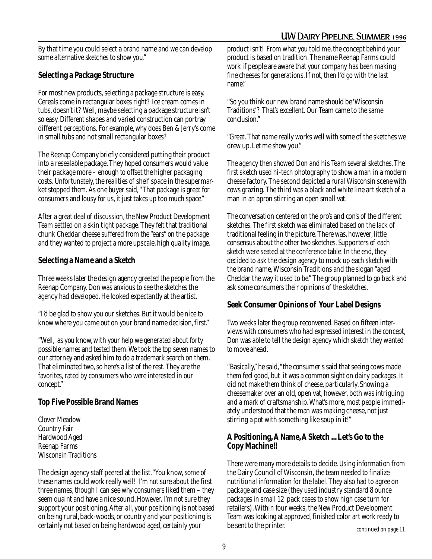### UW Dairy Pipeline, Summer 1996

By that time you could select a brand name and we can develop some alternative sketches to show you."

### **Selecting a Package Structure**

For most new products, selecting a package structure is easy. Cereals come in rectangular boxes right? Ice cream comes in tubs, doesn't it? Well, maybe selecting a package structure isn't so easy. Different shapes and varied construction can portray different perceptions. For example, why does Ben & Jerry's come in small tubs and not small rectangular boxes?

The Reenap Company briefly considered putting their product into a resealable package. They hoped consumers would value their package more – enough to offset the higher packaging costs. Unfortunately, the realities of shelf space in the supermarket stopped them. As one buyer said, "That package is great for consumers and lousy for us, it just takes up too much space."

After a great deal of discussion, the New Product Development Team settled on a skin tight package. They felt that traditional chunk Cheddar cheese suffered from the "ears" on the package and they wanted to project a more upscale, high quality image.

### **Selecting a Name and a Sketch**

Three weeks later the design agency greeted the people from the Reenap Company. Don was anxious to see the sketches the agency had developed. He looked expectantly at the artist.

"I'd be glad to show you our sketches. But it would be nice to know where you came out on your brand name decision, first."

"Well, as you know, with your help we generated about forty possible names and tested them. We took the top seven names to our attorney and asked him to do a trademark search on them. That eliminated two, so here's a list of the rest. They are the favorites, rated by consumers who were interested in our concept."

### **Top Five Possible Brand Names**

Clover Meadow Country Fair Hardwood Aged Reenap Farms Wisconsin Traditions

The design agency staff peered at the list. "You know, some of these names could work really well! I'm not sure about the first three names, though I can see why consumers liked them – they seem quaint and have a nice sound. However, I'm not sure they support your positioning. After all, your positioning is not based on being rural, back-woods, or country and your positioning is certainly not based on being hardwood aged, certainly your

product isn't! From what you told me, the concept behind your product is based on tradition. The name Reenap Farms could work if people are aware that your company has been making fine cheeses for generations. If not, then I'd go with the last name."

"So you think our new brand name should be 'Wisconsin Traditions'? That's excellent. Our Team came to the same conclusion."

"Great. That name really works well with some of the sketches we drew up. Let me show you."

The agency then showed Don and his Team several sketches. The first sketch used hi-tech photography to show a man in a modern cheese factory. The second depicted a rural Wisconsin scene with cows grazing. The third was a black and white line art sketch of a man in an apron stirring an open small vat.

The conversation centered on the pro's and con's of the different sketches. The first sketch was eliminated based on the lack of traditional feeling in the picture. There was, however, little consensus about the other two sketches. Supporters of each sketch were seated at the conference table. In the end, they decided to ask the design agency to mock up each sketch with the brand name, Wisconsin Traditions and the slogan "aged Cheddar the way it used to be." The group planned to go back and ask some consumers their opinions of the sketches.

### **Seek Consumer Opinions of Your Label Designs**

Two weeks later the group reconvened. Based on fifteen interviews with consumers who had expressed interest in the concept, Don was able to tell the design agency which sketch they wanted to move ahead.

"Basically," he said, "the consumer s said that seeing cows made them feel good, but it was a common sight on dairy packages. It did not make them think of cheese, particularly. Showing a cheesemaker over an old, open vat, however, both was intriguing and a mark of craftsmanship. What's more, most people immediately understood that the man was making cheese, not just stirring a pot with something like soup in it!"

### **A Positioning, A Name, A Sketch ... Let's Go to the Copy Machine!!**

There were many more details to decide. Using information from the Dairy Council of Wisconsin, the team needed to finalize nutritional information for the label. They also had to agree on package and case size (they used industry standard 8 ounce packages in small 12 pack cases to show high case turn for retailers). Within four weeks, the New Product Development Team was looking at approved, finished color art work ready to be sent to the printer. *continued on page 11*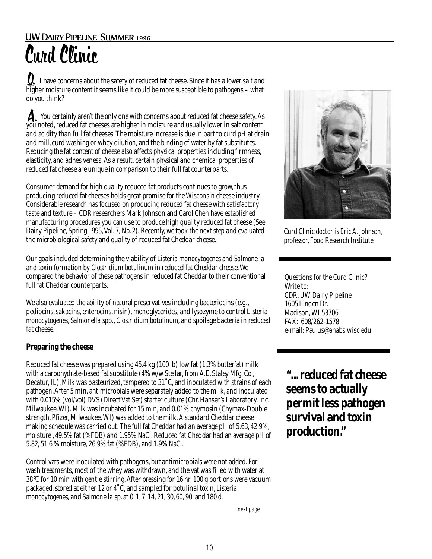**Q.** I have concerns about the safety of reduced fat cheese. Since it has a lower salt and higher moisture content it seems like it could be more susceptible to pathogens – what do you think?

**A** You certainly aren't the only one with concerns about reduced fat cheese safety. As A. You certainly aren't the only one with concerns about reduced fat cheese safety. A<br>you noted, reduced fat cheeses are higher in moisture and usually lower in salt content and acidity than full fat cheeses. The moisture increase is due in part to curd pH at drain and mill, curd washing or whey dilution, and the binding of water by fat substitutes. Reducing the fat content of cheese also affects physical properties including firmness, elasticity, and adhesiveness. As a result, certain physical and chemical properties of reduced fat cheese are unique in comparison to their full fat counterparts.

Consumer demand for high quality reduced fat products continues to grow, thus producing reduced fat cheeses holds great promise for the Wisconsin cheese industry. Considerable research has focused on producing reduced fat cheese with satisfactory taste and texture – CDR researchers Mark Johnson and Carol Chen have established manufacturing procedures you can use to produce high quality reduced fat cheese (See Dairy Pipeline, Spring 1995, Vol. 7, No. 2). Recently, we took the next step and evaluated the microbiological safety and quality of reduced fat Cheddar cheese.

Our goals included determining the viability of *Listeria monocytogenes* and *Salmonella* and toxin formation by *Clostridium botulinum* in reduced fat Cheddar cheese. We compared the behavior of these pathogens in reduced fat Cheddar to their conventional full fat Cheddar counterparts.

We also evaluated the ability of natural preservatives including bacteriocins (e.g., pediocins, sakacins, enterocins, nisin), monoglycerides, and lysozyme to control *Listeria monocytogenes*, *Salmonella* spp., *Clostridiumbotulinum*, and spoilage bacteria in reduced fat cheese.

### **Preparing the cheese**

Reduced fat cheese was prepared using 45.4 kg (100 lb) low fat (1.3% butterfat) milk with a carbohydrate-based fat substitute (4% w/w Stellar, from A.E. Staley Mfg. Co., Decatur, IL). Milk was pasteurized, tempered to 31˚C, and inoculated with strains of each pathogen. After 5 min, antimicrobials were separately added to the milk, and inoculated with 0.015% (vol/vol) DVS (Direct Vat Set) starter culture (Chr. Hansen's Laboratory, Inc. Milwaukee, WI). Milk was incubated for 15 min, and 0.01% chymosin (Chymax-Double strength, Pfizer, Milwaukee, WI) was added to the milk. A standard Cheddar cheese making schedule was carried out. The full fat Cheddar had an average pH of 5.63, 42.9%, moisture , 49.5% fat (%FDB) and 1.95% NaCl. Reduced fat Cheddar had an average pH of 5.82, 51.6 % moisture, 26.9% fat (%FDB), and 1.9% NaCl.

Control vats were inoculated with pathogens, but antimicrobials were not added. For wash treatments, most of the whey was withdrawn, and the vat was filled with water at 38°C for 10 min with gentle stirring. After pressing for 16 hr, 100 g portions were vacuum packaged, stored at either 12 or 4˚C, and sampled for botulinal toxin, *Listeria monocytogenes,* and *Salmonella* sp. at 0, 1, 7, 14, 21, 30, 60, 90, and 180 d.



*Curd Clinic doctor is Eric A. Johnson, professor, Food Research Institute*

Questions for the Curd Clinic? Write to: CDR, *UW Dairy Pipeline* 1605 Linden Dr. Madison, WI 53706 FAX: 608/262-1578 e-mail: Paulus@ahabs.wisc.edu

**"... reduced fat cheese seems to actually permit less pathogen survival and toxin production."**

*next page*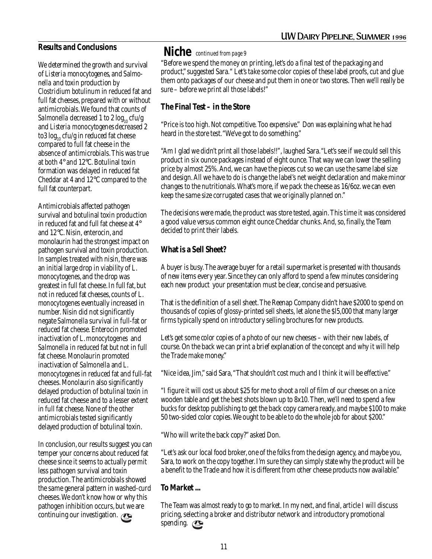#### **Results and Conclusions**

We determined the growth and survival of *Listeria monocytogenes*, and *Salmonella* and toxin production by *Clostridium botulinum* in reduced fat and full fat cheeses, prepared with or without antimicrobials. We found that counts of *Salmonella* decreased 1 to 2  $log_{10}$  cfu/g and *Listeria monocytogenes* decreased 2 to3  $log_{10}$  cfu/g in reduced fat cheese compared to full fat cheese in the absence of antimicrobials. This was true at both 4° and 12°C. Botulinal toxin formation was delayed in reduced fat Cheddar at 4 and 12°C compared to the full fat counterpart.

Antimicrobials affected pathogen survival and botulinal toxin production in reduced fat and full fat cheese at 4° and 12°C. Nisin, enterocin, and monolaurin had the strongest impact on pathogen survival and toxin production. In samples treated with nisin, there was an initial large drop in viability of *L*. *monocytogenes*, and the drop was greatest in full fat cheese. In full fat, but not in reduced fat cheeses, counts of *L*. *monocytogenes* eventually increased in number. Nisin did not significantly negate *Salmonella* survival in full-fat or reduced fat cheese. Enterocin promoted inactivation of *L*. *monocytogenes* and *Salmonella* in reduced fat but not in full fat cheese. Monolaurin promoted inactivation of *Salmonella* and *L*. *monocytogenes* in reduced fat and full-fat cheeses. Monolaurin also significantly delayed production of botulinal toxin in reduced fat cheese and to a lesser extent in full fat cheese. None of the other antimicrobials tested significantly delayed production of botulinal toxin.

In conclusion, our results suggest you can temper your concerns about reduced fat cheese since it seems to actually permit less pathogen survival and toxin production. The antimicrobials showed the same general pattern in washed-curd cheeses. We don't know how or why this pathogen inhibition occurs, but we are continuing our investigation.  $\mathbb{C}$ 

### **Niche** *continued from page 9*

"Before we spend the money on printing, let's do a final test of the packaging and product," suggested Sara." Let's take some color copies of these label proofs, cut and glue them onto packages of our cheese and put them in one or two stores. Then we'll really be sure – before we print all those labels!"

#### **The Final Test – in the Store**

"Price is too high. Not competitive. Too expensive." Don was explaining what he had heard in the store test. "We've got to do something."

"Am I glad we didn't print all those labels!!", laughed Sara. "Let's see if we could sell this product in six ounce packages instead of eight ounce. That way we can lower the selling price by almost 25%. And, we can have the pieces cut so we can use the same label size and design. All we have to do is change the label's net weight declaration and make minor changes to the nutritionals. What's more, if we pack the cheese as 16/6oz. we can even keep the same size corrugated cases that we originally planned on."

The decisions were made, the product was store tested, again. This time it was considered a good value versus common eight ounce Cheddar chunks. And, so, finally, the Team decided to print their labels.

### **What is a Sell Sheet?**

A buyer is busy. The average buyer for a retail supermarket is presented with thousands of new items every year. Since they can only afford to spend a few minutes considering each new product your presentation must be clear, concise and persuasive.

That is the definition of a sell sheet. The Reenap Company didn't have \$2000 to spend on thousands of copies of glossy-printed sell sheets, let alone the \$l5,000 that many larger firms typically spend on introductory selling brochures for new products.

Let's get some color copies of a photo of our new cheeses – with their new labels, of course. On the back we can print a brief explanation of the concept and why it will help the Trade make money."

"Nice idea, Jim," said Sara, "That shouldn't cost much and I think it will be effective."

"I figure it will cost us about \$25 for me to shoot a roll of film of our cheeses on a nice wooden table and get the best shots blown up to 8x10. Then, we'll need to spend a few bucks for desktop publishing to get the back copy camera ready, and maybe \$100 to make 50 two-sided color copies. We ought to be able to do the whole job for about \$200."

"Who will write the back copy?" asked Don.

"Let's ask our local food broker, one of the folks from the design agency, and maybe you, Sara, to work on the copy together. I'm sure they can simply state why the product will be a benefit to the Trade and how it is different from other cheese products now available."

### **To Market ...**

The Team was almost ready to go to market. In my next, and final, article I will discuss pricing, selecting a broker and distributor network and introductory promotional spending.  $\mathbb{C}$